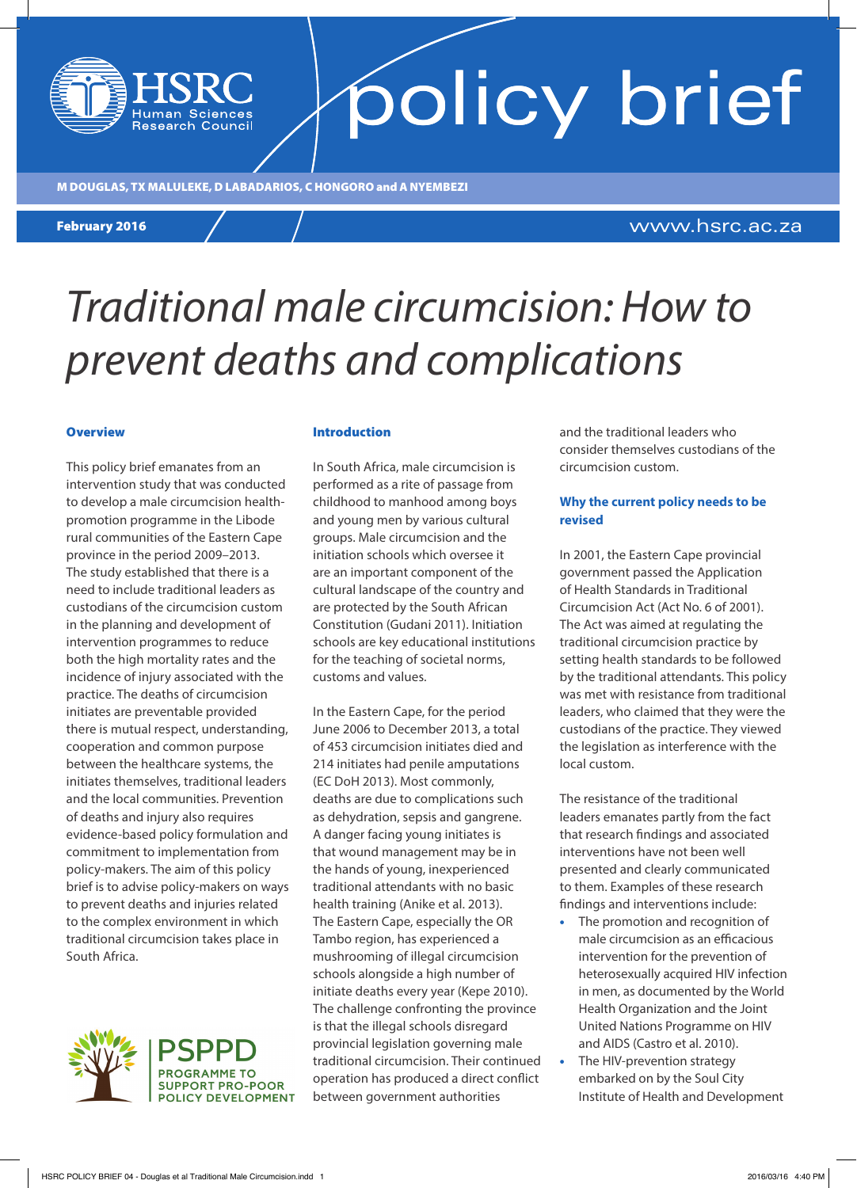# M DOUGLAS, TX MALULEKE, D LABADARIOS, C HONGORO and A NYEMBEZI

**Research Council** 

### February 2012 February 2016

www.hsrc.ac.za

# *Traditional male circumcision: How to prevent deaths and complications*

### **Overview**

This policy brief emanates from an intervention study that was conducted to develop a male circumcision healthpromotion programme in the Libode rural communities of the Eastern Cape province in the period 2009–2013. The study established that there is a need to include traditional leaders as custodians of the circumcision custom in the planning and development of intervention programmes to reduce both the high mortality rates and the incidence of injury associated with the practice. The deaths of circumcision initiates are preventable provided there is mutual respect, understanding, cooperation and common purpose between the healthcare systems, the initiates themselves, traditional leaders and the local communities. Prevention of deaths and injury also requires evidence-based policy formulation and commitment to implementation from policy-makers. The aim of this policy brief is to advise policy-makers on ways to prevent deaths and injuries related to the complex environment in which traditional circumcision takes place in South Africa.



**SUPPORT PRO-POOR POLICY DEVELOPMENT** 

### Introduction

In South Africa, male circumcision is performed as a rite of passage from childhood to manhood among boys and young men by various cultural groups. Male circumcision and the initiation schools which oversee it are an important component of the cultural landscape of the country and are protected by the South African Constitution (Gudani 2011). Initiation schools are key educational institutions for the teaching of societal norms, customs and values.

In the Eastern Cape, for the period June 2006 to December 2013, a total of 453 circumcision initiates died and 214 initiates had penile amputations (EC DoH 2013). Most commonly, deaths are due to complications such as dehydration, sepsis and gangrene. A danger facing young initiates is that wound management may be in the hands of young, inexperienced traditional attendants with no basic health training (Anike et al. 2013). The Eastern Cape, especially the OR Tambo region, has experienced a mushrooming of illegal circumcision schools alongside a high number of initiate deaths every year (Kepe 2010). The challenge confronting the province is that the illegal schools disregard provincial legislation governing male traditional circumcision. Their continued operation has produced a direct conflict between government authorities

and the traditional leaders who consider themselves custodians of the circumcision custom.

policy brief

### **Why the current policy needs to be revised**

In 2001, the Eastern Cape provincial government passed the Application of Health Standards in Traditional Circumcision Act (Act No. 6 of 2001). The Act was aimed at regulating the traditional circumcision practice by setting health standards to be followed by the traditional attendants. This policy was met with resistance from traditional leaders, who claimed that they were the custodians of the practice. They viewed the legislation as interference with the local custom.

The resistance of the traditional leaders emanates partly from the fact that research findings and associated interventions have not been well presented and clearly communicated to them. Examples of these research findings and interventions include:

- The promotion and recognition of male circumcision as an efficacious intervention for the prevention of heterosexually acquired HIV infection in men, as documented by the World Health Organization and the Joint United Nations Programme on HIV and AIDS (Castro et al. 2010).
- The HIV-prevention strategy embarked on by the Soul City Institute of Health and Development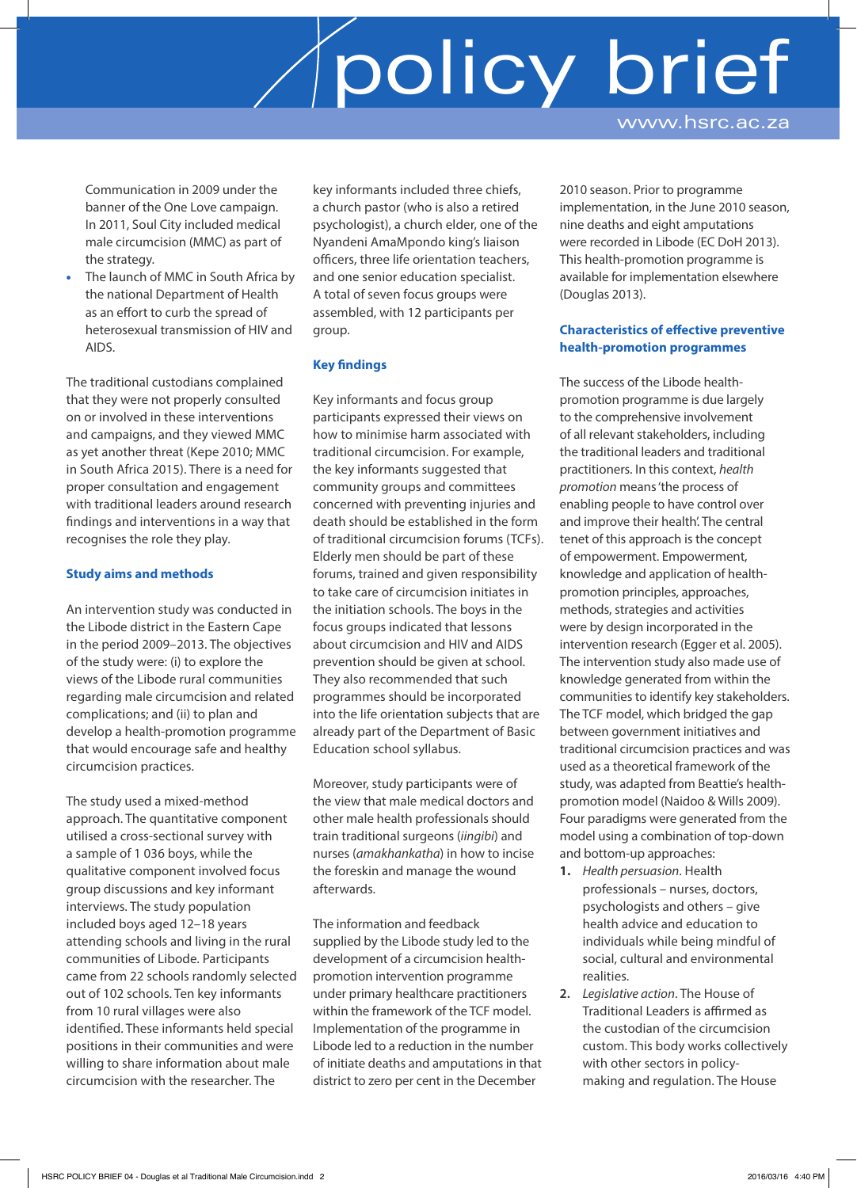# policy brief

www.hsrc.ac.za

Communication in 2009 under the banner of the One Love campaign. In 2011, Soul City included medical male circumcision (MMC) as part of the strategy.

The launch of MMC in South Africa by the national Department of Health as an effort to curb the spread of heterosexual transmission of HIV and AIDS.

The traditional custodians complained that they were not properly consulted on or involved in these interventions and campaigns, and they viewed MMC as yet another threat (Kepe 2010; MMC in South Africa 2015). There is a need for proper consultation and engagement with traditional leaders around research findings and interventions in a way that recognises the role they play.

### **Study aims and methods**

An intervention study was conducted in the Libode district in the Eastern Cape in the period 2009–2013. The objectives of the study were: (i) to explore the views of the Libode rural communities regarding male circumcision and related complications; and (ii) to plan and develop a health-promotion programme that would encourage safe and healthy circumcision practices.

The study used a mixed-method approach. The quantitative component utilised a cross-sectional survey with a sample of 1 036 boys, while the qualitative component involved focus group discussions and key informant interviews. The study population included boys aged 12–18 years attending schools and living in the rural communities of Libode. Participants came from 22 schools randomly selected out of 102 schools. Ten key informants from 10 rural villages were also identified. These informants held special positions in their communities and were willing to share information about male circumcision with the researcher. The

key informants included three chiefs, a church pastor (who is also a retired psychologist), a church elder, one of the Nyandeni AmaMpondo king's liaison officers, three life orientation teachers, and one senior education specialist. A total of seven focus groups were assembled, with 12 participants per group.

### **Key findings**

Key informants and focus group participants expressed their views on how to minimise harm associated with traditional circumcision. For example, the key informants suggested that community groups and committees concerned with preventing injuries and death should be established in the form of traditional circumcision forums (TCFs). Elderly men should be part of these forums, trained and given responsibility to take care of circumcision initiates in the initiation schools. The boys in the focus groups indicated that lessons about circumcision and HIV and AIDS prevention should be given at school. They also recommended that such programmes should be incorporated into the life orientation subjects that are already part of the Department of Basic Education school syllabus.

Moreover, study participants were of the view that male medical doctors and other male health professionals should train traditional surgeons (*iingibi*) and nurses (*amakhankatha*) in how to incise the foreskin and manage the wound afterwards.

The information and feedback supplied by the Libode study led to the development of a circumcision healthpromotion intervention programme under primary healthcare practitioners within the framework of the TCF model. Implementation of the programme in Libode led to a reduction in the number of initiate deaths and amputations in that district to zero per cent in the December

2010 season. Prior to programme implementation, in the June 2010 season, nine deaths and eight amputations were recorded in Libode (EC DoH 2013). This health-promotion programme is available for implementation elsewhere (Douglas 2013).

### **Characteristics of effective preventive health-promotion programmes**

The success of the Libode healthpromotion programme is due largely to the comprehensive involvement of all relevant stakeholders, including the traditional leaders and traditional practitioners. In this context, *health promotion* means 'the process of enabling people to have control over and improve their health'. The central tenet of this approach is the concept of empowerment. Empowerment, knowledge and application of healthpromotion principles, approaches, methods, strategies and activities were by design incorporated in the intervention research (Egger et al. 2005). The intervention study also made use of knowledge generated from within the communities to identify key stakeholders. The TCF model, which bridged the gap between government initiatives and traditional circumcision practices and was used as a theoretical framework of the study, was adapted from Beattie's healthpromotion model (Naidoo & Wills 2009). Four paradigms were generated from the model using a combination of top-down and bottom-up approaches:

- **1.** *Health persuasion*. Health professionals – nurses, doctors, psychologists and others – give health advice and education to individuals while being mindful of social, cultural and environmental realities.
- **2.** *Legislative action*. The House of Traditional Leaders is affirmed as the custodian of the circumcision custom. This body works collectively with other sectors in policymaking and regulation. The House